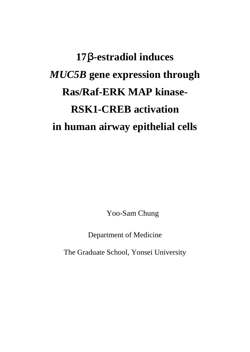# **17**β**-estradiol induces**  *MUC5B* **gene expression through Ras/Raf-ERK MAP kinase-RSK1-CREB activation in human airway epithelial cells**

Yoo-Sam Chung

Department of Medicine

The Graduate School, Yonsei University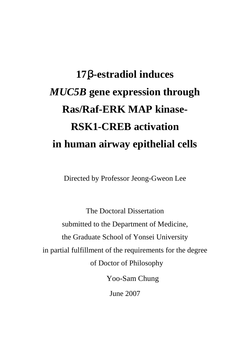# **17**β**-estradiol induces**  *MUC5B* **gene expression through Ras/Raf-ERK MAP kinase-RSK1-CREB activation in human airway epithelial cells**

Directed by Professor Jeong-Gweon Lee

The Doctoral Dissertation submitted to the Department of Medicine, the Graduate School of Yonsei University in partial fulfillment of the requirements for the degree of Doctor of Philosophy Yoo-Sam Chung

June 2007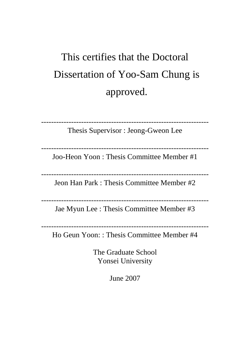# This certifies that the Doctoral Dissertation of Yoo-Sam Chung is approved.

Thesis Supervisor : Jeong-Gweon Lee

-------------------------------------------------------------------

-------------------------------------------------------------------

Joo-Heon Yoon : Thesis Committee Member #1

-------------------------------------------------------------------

Jeon Han Park : Thesis Committee Member #2

-------------------------------------------------------------------

Jae Myun Lee : Thesis Committee Member #3

-------------------------------------------------------------------

Ho Geun Yoon: : Thesis Committee Member #4

The Graduate School Yonsei University

June 2007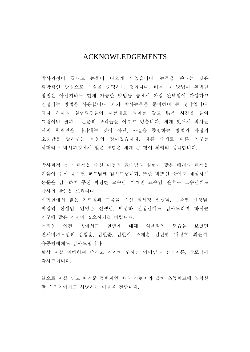## ACKNOWLEDGEMENTS

박사과정이 끝나고 논문이 나오게 되었습니다. 논문을 쓴다는 것은 과학적인 방법으로 사실을 증명하는 것입니다. 비록 그 방법이 완벽한 방법은 아닐지라도 현재 가능한 방법들 중에서 가장 완벽함에 가깝다고 인정되는 방법을 사용합니다. 제가 박사논문을 준비하며 든 생각입니다. 하나 하나의 실험과정들이 나름대로 의미를 갖고 많은 시간을 들여 그림이나 결과로 논문의 조각들을 이루고 있습니다. 제게 있어서 박사는 단지 학력만을 나타내는 것이 아닌, 사실을 증명하는 방법과 과정의 소중함을 알려주는 배움의 장이었습니다. 다른 주제로 다른 연구를 하더라도 박사과정에서 얻은 경험은 제게 큰 힘이 되리라 생각합니다.

박사과정 동안 관심을 주신 이정권 교수님과 실험에 많은 배려와 관심을 기울여 주신 윤주헌 교수님께 감사드립니다. 또한 바쁘신 중에도 세심하게 논문을 검토하여 주신 박전한 교수님, 이재면 교수님, 윤호근 교수님께도 감사의 말씀을 드립니다.

실험실에서 많은 가르침과 도움을 주신 최혜정 선생님, 문욱열 선생님, 박영덕 선생님, 안영은 선생님, 박성하 선생님께도 감사드리며 하시는 연구에 많은 진전이 있으시기를 바랍니다.

어려운 여건 속에서도 실험에 대해 의욕적인 모습을 보였던 연세비과모임의 김창훈, 김현준, 김현직, 조재훈, 김진영, 배정호, 최윤석, 유종범에게도 감사드립니다.

항상 저를 이해하여 주시고 지지해 주시는 어머님과 장인어른, 장모님께 감사드립니다.

끝으로 저를 믿고 따라준 동반자인 아내 지현이와 올해 초등학교에 입학한 딸 수민이에게도 사랑하는 마음을 전합니다.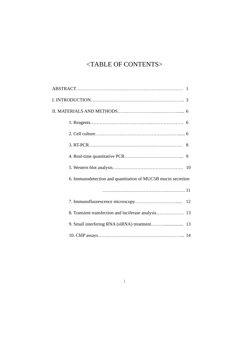## <TABLE OF CONTENTS>

| 6. Immunodetection and quantitation of MUC5B mucin secretion |  |
|--------------------------------------------------------------|--|
|                                                              |  |
|                                                              |  |
|                                                              |  |
|                                                              |  |
|                                                              |  |

i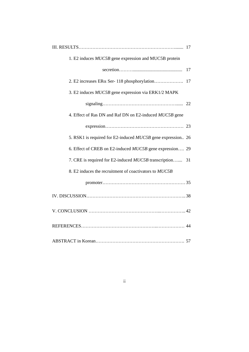| 1. E2 induces MUC5B gene expression and MUC5B protein           |
|-----------------------------------------------------------------|
| 17                                                              |
| 17                                                              |
| 3. E2 induces MUC5B gene expression via ERK1/2 MAPK             |
|                                                                 |
| 4. Effect of Ras DN and Raf DN on E2-induced MUC5B gene         |
|                                                                 |
| 5. RSK1 is required for E2-induced MUC5B gene expression 26     |
| 6. Effect of CREB on E2-induced MUC5B gene expression 29        |
| 7. CRE is required for E2-induced <i>MUC5B</i> transcription 31 |
| 8. E2 induces the recruitment of coactivators to MUC5B          |
|                                                                 |
|                                                                 |
|                                                                 |
|                                                                 |
|                                                                 |

## ii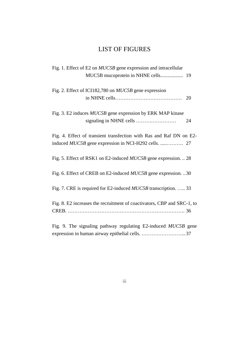## LIST OF FIGURES

| Fig. 1. Effect of E2 on <i>MUC5B</i> gene expression and intracellular  |    |
|-------------------------------------------------------------------------|----|
|                                                                         |    |
| Fig. 2. Effect of ICI182,780 on <i>MUC5B</i> gene expression            |    |
|                                                                         | 20 |
|                                                                         |    |
| Fig. 3. E2 induces <i>MUC5B</i> gene expression by ERK MAP kinase       |    |
|                                                                         | 24 |
| Fig. 4. Effect of transient transfection with Ras and Raf DN on E2-     |    |
|                                                                         |    |
|                                                                         |    |
| Fig. 5. Effect of RSK1 on E2-induced <i>MUC5B</i> gene expression.  28  |    |
|                                                                         |    |
| Fig. 6. Effect of CREB on E2-induced <i>MUC5B</i> gene expression. 30   |    |
| Fig. 7. CRE is required for E2-induced <i>MUC5B</i> transcription.  33  |    |
|                                                                         |    |
| Fig. 8. E2 increases the recruitment of coactivators, CBP and SRC-1, to |    |
|                                                                         |    |
|                                                                         |    |
| Fig. 9. The signaling pathway regulating E2-induced MUC5B gene          |    |
| expression in human airway epithelial cells. 37                         |    |

iii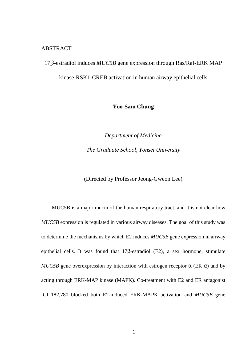#### ABSTRACT

17β-estradiol induces *MUC5B* gene expression through Ras/Raf-ERK MAP kinase-RSK1-CREB activation in human airway epithelial cells

### **Yoo-Sam Chung**

*Department of Medicine The Graduate School, Yonsei University* 

(Directed by Professor Jeong-Gweon Lee)

MUC5B is a major mucin of the human respiratory tract, and it is not clear how *MUC5B* expression is regulated in various airway diseases. The goal of this study was to determine the mechanisms by which E2 induces *MUC5B* gene expression in airway epithelial cells. It was found that 17β-estradiol (E2), a sex hormone, stimulate *MUC5B* gene overexpression by interaction with estrogen receptor  $\alpha$  (ER  $\alpha$ ) and by acting through ERK-MAP kinase (MAPK). Co-treatment with E2 and ER antagonist ICI 182,780 blocked both E2-induced ERK-MAPK activation and *MUC5B* gene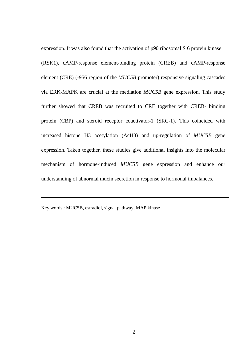expression. It was also found that the activation of p90 ribosomal S 6 protein kinase 1 (RSK1), cAMP-response element-binding protein (CREB) and cAMP-response element (CRE) (-956 region of the *MUC5B* promoter) responsive signaling cascades via ERK-MAPK are crucial at the mediation *MUC5B* gene expression. This study further showed that CREB was recruited to CRE together with CREB- binding protein (CBP) and steroid receptor coactivator-1 (SRC-1). This coincided with increased histone H3 acetylation (AcH3) and up-regulation of *MUC5B* gene expression. Taken together, these studies give additional insights into the molecular mechanism of hormone-induced *MUC5B* gene expression and enhance our understanding of abnormal mucin secretion in response to hormonal imbalances.

Key words : MUC5B, estradiol, signal pathway, MAP kinase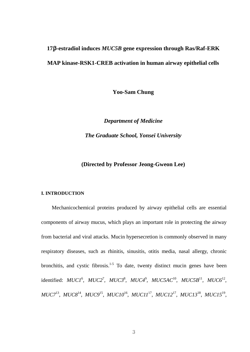# **17**β**-estradiol induces** *MUC5B* **gene expression through Ras/Raf-ERK MAP kinase-RSK1-CREB activation in human airway epithelial cells**

**Yoo-Sam Chung** 

*Department of Medicine The Graduate School, Yonsei University* 

#### **(Directed by Professor Jeong-Gweon Lee)**

#### **I. INTRODUCTION**

Mechanicochemical proteins produced by airway epithelial cells are essential components of airway mucus, which plays an important role in protecting the airway from bacterial and viral attacks. Mucin hypersecretion is commonly observed in many respiratory diseases, such as rhinitis, sinusitis, otitis media, nasal allergy, chronic bronchitis, and cystic fibrosis.<sup>1-5</sup> To date, twenty distinct mucin genes have been identified: *MUC1*<sup>6</sup>, *MUC2*<sup>7</sup>, *MUC3*<sup>8</sup>, *MUC4*<sup>9</sup>, *MUC5AC*<sup>10</sup>, *MUC5B*<sup>11</sup>, *MUC6*<sup>12</sup>, *MUC7*<sup>13</sup> , *MUC8*<sup>14</sup> , *MUC9*<sup>15</sup> , *MUC10*<sup>16</sup> , *MUC11*<sup>17</sup> , *MUC12*<sup>17</sup> , *MUC13*<sup>18</sup> , *MUC15*<sup>19</sup> ,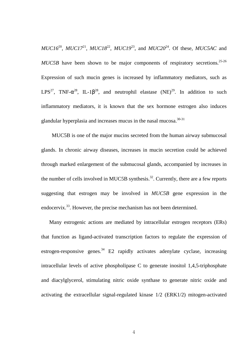*MUC16*<sup>20</sup>, *MUC17*<sup>21</sup>, *MUC18*<sup>22</sup>, *MUC19*<sup>23</sup>, and *MUC20*<sup>24</sup>. Of these, *MUC5AC* and  $MUC5B$  have been shown to be major components of respiratory secretions.<sup>25-26</sup> Expression of such mucin genes is increased by inflammatory mediators, such as LPS<sup>27</sup>, TNF- $\alpha^{28}$ , IL-1 $\beta^{28}$ , and neutrophil elastase (NE)<sup>29</sup>. In addition to such inflammatory mediators, it is known that the sex hormone estrogen also induces glandular hyperplasia and increases mucus in the nasal mucosa.<sup>30-31</sup>

MUC5B is one of the major mucins secreted from the human airway submucosal glands. In chronic airway diseases, increases in mucin secretion could be achieved through marked enlargement of the submucosal glands, accompanied by increases in the number of cells involved in MUC5B synthesis.<sup>32</sup>. Currently, there are a few reports suggesting that estrogen may be involved in *MUC5B* gene expression in the endocervix.<sup>33</sup>. However, the precise mechanism has not been determined.

 Many estrogenic actions are mediated by intracellular estrogen receptors (ERs) that function as ligand-activated transcription factors to regulate the expression of estrogen-responsive genes. $34$  E2 rapidly activates adenylate cyclase, increasing intracellular levels of active phospholipase C to generate inositol 1,4,5-triphosphate and diacylglycerol, stimulating nitric oxide synthase to generate nitric oxide and activating the extracellular signal-regulated kinase 1/2 (ERK1/2) mitogen-activated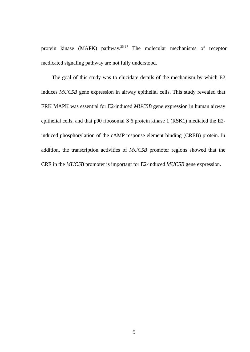protein kinase (MAPK) pathway.<sup>35-37</sup> The molecular mechanisms of receptor medicated signaling pathway are not fully understood.

The goal of this study was to elucidate details of the mechanism by which E2 induces *MUC5B* gene expression in airway epithelial cells. This study revealed that ERK MAPK was essential for E2-induced *MUC5B* gene expression in human airway epithelial cells, and that p90 ribosomal S 6 protein kinase 1 (RSK1) mediated the E2 induced phosphorylation of the cAMP response element binding (CREB) protein. In addition, the transcription activities of *MUC5B* promoter regions showed that the CRE in the *MUC5B* promoter is important for E2-induced *MUC5B* gene expression.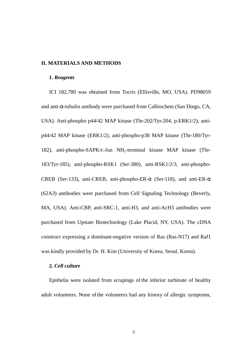#### **II. MATERIALS AND METHODS**

#### **1.** *Reagents*

ICI 182,780 was obtained from Tocris (Ellisville, MO, USA). PD98059 and anti-α-tubulin antibody were purchased from Calbiochem (San Diego, CA, USA). Anti-phospho p44/42 MAP kinase (Thr-202/Tyr-204, p-ERK1/2), antip44/42 MAP kinase (ERK1/2), anti-phospho-p38 MAP kinase (Thr-180/Tyr-182), anti-phospho-SAPK/c-Jun NH2-terminal kinase MAP kinase (Thr-183/Tyr-185), anti-phospho-RSK1 (Ser-380), anti-RSK1/2/3, anti-phospho-CREB (Ser-133), anti-CREB, anti-phospho-ER- $\alpha$  (Ser-118), and anti-ER- $\alpha$ (62A3) antibodies were purchased from Cell Signaling Technology (Beverly, MA, USA). Anti-CBP, anti-SRC-1, anti-H3, and anti-AcH3 antibodies were purchased from Upstate Biotechnology (Lake Placid, NY, USA). The cDNA construct expressing a dominant-negative version of Ras (Ras-N17) and Raf1 was kindly provided by Dr. H. Kim (University of Korea, Seoul, Korea).

#### **2***. Cell culture*

Epithelia were isolated from scrapings of the inferior turbinate of healthy adult volunteers. None of the volunteers had any history of allergic symptoms,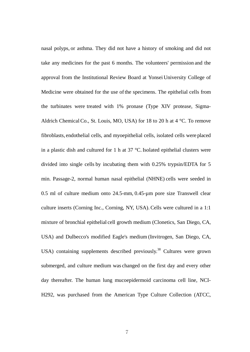nasal polyps, or asthma. They did not have a history of smoking and did not take any medicines for the past 6 months. The volunteers' permission and the approval from the Institutional Review Board at Yonsei University College of Medicine were obtained for the use of the specimens. The epithelial cells from the turbinates were treated with 1% pronase (Type XIV protease, Sigma-Aldrich Chemical Co., St. Louis, MO, USA) for 18 to 20 h at  $4^{\circ}$ C. To remove fibroblasts, endothelial cells, and myoepithelial cells, isolated cells were placed in a plastic dish and cultured for 1 h at  $37 \text{ °C}$ . Isolated epithelial clusters were divided into single cells by incubating them with 0.25% trypsin/EDTA for 5 min. Passage-2, normal human nasal epithelial (NHNE) cells were seeded in 0.5 ml of culture medium onto 24.5-mm, 0.45-µm pore size Transwell clear culture inserts (Corning Inc., Corning, NY, USA).Cells were cultured in a 1:1 mixture of bronchial epithelial cell growth medium (Clonetics, San Diego, CA, USA) and Dulbecco's modified Eagle's medium (Invitrogen, San Diego, CA, USA) containing supplements described previously.<sup>38</sup> Cultures were grown submerged, and culture medium was changed on the first day and every other day thereafter. The human lung mucoepidermoid carcinoma cell line, NCI-H292, was purchased from the American Type Culture Collection (ATCC,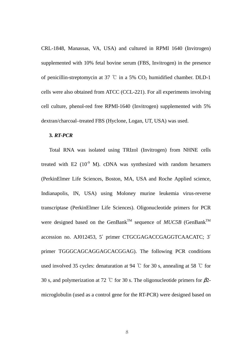CRL-1848, Manassas, VA, USA) and cultured in RPMI 1640 (Invitrogen) supplemented with 10% fetal bovine serum (FBS, Invitrogen) in the presence of penicillin-streptomycin at 37 °C in a 5%  $CO<sub>2</sub>$  humidified chamber. DLD-1 cells were also obtained from ATCC (CCL-221). For all experiments involving cell culture, phenol-red free RPMI-1640 (Invitrogen) supplemented with 5% dextran/charcoal–treated FBS (Hyclone, Logan, UT, USA) was used.

#### **3***. RT-PCR*

Total RNA was isolated using TRIzol (Invitrogen) from NHNE cells treated with E2  $(10^{-9}$  M). cDNA was synthesized with random hexamers (PerkinElmer Life Sciences, Boston, MA, USA and Roche Applied science, Indianapolis, IN, USA) using Moloney murine leukemia virus-reverse transcriptase (PerkinElmer Life Sciences). Oligonucleotide primers for PCR were designed based on the GenBank<sup>TM</sup> sequence of *MUC5B* (GenBank<sup>TM</sup>) accession no. AJ012453, 5′ primer CTGCGAGACCGAGGTCAACATC; 3′ primer TGGGCAGCAGGAGCACGGAG). The following PCR conditions used involved 35 cycles: denaturation at 94 ℃ for 30 s, annealing at 58 ℃ for 30 s, and polymerization at 72 °C for 30 s. The oligonucleotide primers for  $\beta$ 2microglobulin (used as a control gene for the RT-PCR) were designed based on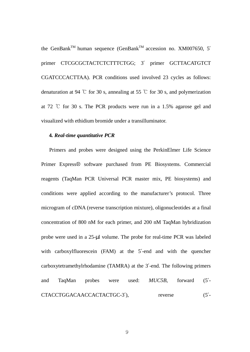the GenBank<sup>TM</sup> human sequence (GenBank<sup>TM</sup> accession no. XM007650, 5' primer CTCGCGCTACTCTCTTTCTGG; 3′ primer GCTTACATGTCT CGATCCCACTTAA). PCR conditions used involved 23 cycles as follows: denaturation at 94 °C for 30 s, annealing at 55 °C for 30 s, and polymerization at 72 ℃ for 30 s. The PCR products were run in a 1.5% agarose gel and visualized with ethidium bromide under a transilluminator.

#### **4***. Real-time quantitative PCR*

Primers and probes were designed using the PerkinElmer Life Science Primer Express® software purchased from PE Biosystems. Commercial reagents (TaqMan PCR Universal PCR master mix, PE biosystems) and conditions were applied according to the manufacturer's protocol. Three microgram of cDNA (reverse transcription mixture), oligonucleotides at a final concentration of 800 nM for each primer, and 200 nM TaqMan hybridization probe were used in a 25-µl volume. The probe for real-time PCR was labeled with carboxylfluorescein (FAM) at the 5'-end and with the quencher carboxytetramethylrhodamine (TAMRA) at the 3′-end. The following primers and TaqMan probes were used: *MUC5B*, forward (5′- CTACCTGGACAACCACTACTGC-3'), reverse (5'-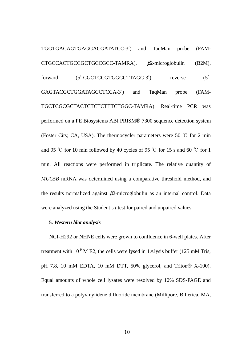TGGTGACAGTGAGGACGATATCC-3′) and TaqMan probe (FAM-CTGCCACTGCCGCTGCCGCC-TAMRA), β2-microglobulin (B2M), forward  $(5'-CGCTCCGTGGCCTTAGC-3')$ , reverse  $(5'-CGCTCCGTGGCCTTAGC-3')$ GAGTACGCTGGATAGCCTCCA-3′) and TaqMan probe (FAM-TGCTCGCGCTACTCTCTCTTTCTGGC-TAMRA). Real-time PCR was performed on a PE Biosystems ABI PRISM® 7300 sequence detection system (Foster City, CA, USA). The thermocycler parameters were 50  $\degree$ C for 2 min and 95 ℃ for 10 min followed by 40 cycles of 95 ℃ for 15 s and 60 ℃ for 1 min. All reactions were performed in triplicate. The relative quantity of *MUC5B* mRNA was determined using a comparative threshold method, and the results normalized against  $\beta$ 2-microglobulin as an internal control. Data were analyzed using the Student's *t* test for paired and unpaired values.

#### **5***. Western blot analysis*

NCI-H292 or NHNE cells were grown to confluence in 6-well plates. After treatment with  $10^{-9}$  M E2, the cells were lysed in  $1 \times$  lysis buffer (125 mM Tris, pH 7.8, 10 mM EDTA, 10 mM DTT, 50% glycerol, and Triton® X-100). Equal amounts of whole cell lysates were resolved by 10% SDS-PAGE and transferred to a polyvinylidene difluoride membrane (Millipore, Billerica, MA,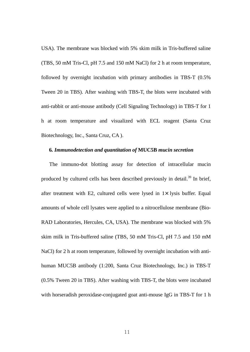USA). The membrane was blocked with 5% skim milk in Tris-buffered saline (TBS, 50 mM Tris-Cl, pH 7.5 and 150 mM NaCl) for 2 h at room temperature, followed by overnight incubation with primary antibodies in TBS-T (0.5% Tween 20 in TBS). After washing with TBS-T, the blots were incubated with anti-rabbit or anti-mouse antibody (Cell Signaling Technology) in TBS-T for 1 h at room temperature and visualized with ECL reagent (Santa Cruz Biotechnology, Inc., Santa Cruz, CA ).

#### **6***. Immunodetection and quantitation of* **MUC5B** *mucin secretion*

The immuno-dot blotting assay for detection of intracellular mucin produced by cultured cells has been described previously in detail.<sup>39</sup> In brief, after treatment with E2, cultured cells were lysed in  $1 \times$  lysis buffer. Equal amounts of whole cell lysates were applied to a nitrocellulose membrane (Bio-RAD Laboratories, Hercules, CA, USA). The membrane was blocked with 5% skim milk in Tris-buffered saline (TBS, 50 mM Tris-Cl, pH 7.5 and 150 mM NaCl) for 2 h at room temperature, followed by overnight incubation with antihuman MUC5B antibody (1:200, Santa Cruz Biotechnology, Inc.) in TBS-T (0.5% Tween 20 in TBS). After washing with TBS-T, the blots were incubated with horseradish peroxidase-conjugated goat anti-mouse IgG in TBS-T for 1 h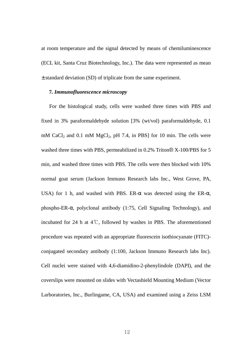at room temperature and the signal detected by means of chemiluminescence (ECL kit, Santa Cruz Biotechnology, Inc.). The data were represented as mean ± standard deviation (SD) of triplicate from the same experiment.

#### **7***. Immunofluorescence microscopy*

For the histological study, cells were washed three times with PBS and fixed in 3% paraformaldehyde solution [3% (wt/vol) paraformaldehyde, 0.1  $mM$  CaCl<sub>2</sub> and 0.1 mM MgCl<sub>2</sub>, pH 7.4, in PBS] for 10 min. The cells were washed three times with PBS, permeabilized in 0.2% Triton® X-100/PBS for 5 min, and washed three times with PBS. The cells were then blocked with 10% normal goat serum (Jackson Immuno Research labs Inc., West Grove, PA, USA) for 1 h, and washed with PBS. ER- $\alpha$  was detected using the ER- $\alpha$ , phospho-ER-α, polyclonal antibody (1:75, Cell Signaling Technology), and incubated for 24 h at 4℃, followed by washes in PBS. The aforementioned procedure was repeated with an appropriate fluorescein isothiocyanate (FITC) conjugated secondary antibody (1:100, Jackson Immuno Research labs Inc). Cell nuclei were stained with 4,6-diamidino-2-phenylindole (DAPI), and the coverslips were mounted on slides with Vectashield Mounting Medium (Vector Larboratories, Inc., Burlingame, CA, USA) and examined using a Zeiss LSM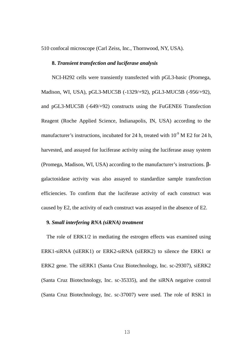510 confocal microscope (Carl Zeiss, Inc., Thornwood, NY, USA).

#### **8.** *Transient transfection and luciferase analysis*

NCI-H292 cells were transiently transfected with pGL3-basic (Promega, Madison, WI, USA), pGL3-MUC5B (-1329/+92), pGL3-MUC5B (-956/+92), and pGL3-MUC5B (-649/+92) constructs using the FuGENE6 Transfection Reagent (Roche Applied Science, Indianapolis, IN, USA) according to the manufacturer's instructions, incubated for 24 h, treated with  $10^{-9}$  M E2 for 24 h, harvested, and assayed for luciferase activity using the luciferase assay system (Promega, Madison, WI, USA) according to the manufacturer's instructions. βgalactosidase activity was also assayed to standardize sample transfection efficiencies. To confirm that the luciferase activity of each construct was caused by E2, the activity of each construct was assayed in the absence of E2.

#### **9***. Small interfering RNA (siRNA) treatment*

The role of ERK1/2 in mediating the estrogen effects was examined using ERK1-siRNA (siERK1) or ERK2-siRNA (siERK2) to silence the ERK1 or ERK2 gene. The siERK1 (Santa Cruz Biotechnology, Inc. sc-29307), siERK2 (Santa Cruz Biotechnology, Inc. sc-35335), and the siRNA negative control (Santa Cruz Biotechnology, Inc. sc-37007) were used. The role of RSK1 in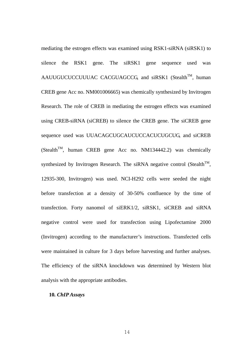mediating the estrogen effects was examined using RSK1-siRNA (siRSK1) to silence the RSK1 gene. The siRSK1 gene sequence used was AAUUGUCUCCUUUAC CACGUAGCCG, and siRSK1 (Stealth<sup>TM</sup>, human CREB gene Acc no. NM001006665) was chemically synthesized by Invitrogen Research. The role of CREB in mediating the estrogen effects was examined using CREB-siRNA (siCREB) to silence the CREB gene. The siCREB gene sequence used was UUACAGCUGCAUCUCCACUCUGCUG, and siCREB  $(Stealth<sup>TM</sup>, human CREB gene Acc no. NM134442.2) was chemically$ synthesized by Invitrogen Research. The siRNA negative control (Stealth<sup>TM</sup>, 12935-300, Invitrogen) was used. NCI-H292 cells were seeded the night before transfection at a density of 30-50% confluence by the time of transfection. Forty nanomol of siERK1/2, siRSK1, siCREB and siRNA negative control were used for transfection using Lipofectamine 2000 (Invitrogen) according to the manufacturer's instructions. Transfected cells were maintained in culture for 3 days before harvesting and further analyses. The efficiency of the siRNA knockdown was determined by Western blot analysis with the appropriate antibodies.

#### **10***. ChIP Assays*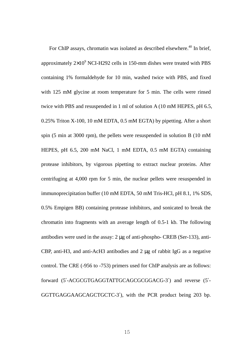For ChIP assays, chromatin was isolated as described elsewhere.<sup>40</sup> In brief, approximately  $2\times10^9$  NCI-H292 cells in 150-mm dishes were treated with PBS containing 1% formaldehyde for 10 min, washed twice with PBS, and fixed with 125 mM glycine at room temperature for 5 min. The cells were rinsed twice with PBS and resuspended in 1 ml of solution A (10 mM HEPES, pH 6.5, 0.25% Triton X-100, 10 mM EDTA, 0.5 mM EGTA) by pipetting. After a short spin (5 min at 3000 rpm), the pellets were resuspended in solution B (10 mM HEPES, pH 6.5, 200 mM NaCl, 1 mM EDTA, 0.5 mM EGTA) containing protease inhibitors, by vigorous pipetting to extract nuclear proteins. After centrifuging at 4,000 rpm for 5 min, the nuclear pellets were resuspended in immunoprecipitation buffer (10 mM EDTA, 50 mM Tris-HCl, pH 8.1, 1% SDS, 0.5% Empigen BB) containing protease inhibitors, and sonicated to break the chromatin into fragments with an average length of 0.5-1 kb. The following antibodies were used in the assay: 2 µg of anti-phospho- CREB (Ser-133), anti-CBP, anti-H3, and anti-AcH3 antibodies and 2 µg of rabbit IgG as a negative control. The CRE (-956 to -753) primers used for ChIP analysis are as follows: forward (5′-ACGCGTGAGGTATTGCAGCGCGGACG-3′) and reverse (5′- GGTTGAGGAAGCAGCTGCTC-3′), with the PCR product being 203 bp.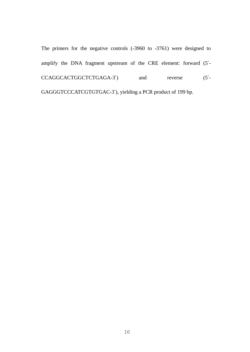The primers for the negative controls (-3960 to -3761) were designed to amplify the DNA fragment upstream of the CRE element: forward (5′- CCAGGCACTGGCTCTGAGA-3<sup>'</sup>) and reverse (5'-GAGGGTCCCATCGTGTGAC-3′), yielding a PCR product of 199 bp.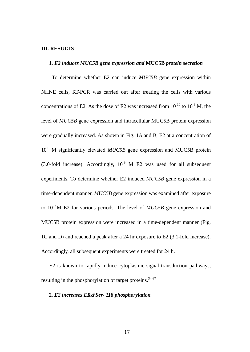#### **III. RESULTS**

#### **1***. E2 induces MUC5B gene expression and* **MUC5B** *protein secretion*

 To determine whether E2 can induce *MUC5B* gene expression within NHNE cells, RT-PCR was carried out after treating the cells with various concentrations of E2. As the dose of E2 was increased from  $10^{-10}$  to  $10^{-8}$  M, the level of *MUC5B* gene expression and intracellular MUC5B protein expression were gradually increased. As shown in Fig. 1A and B, E2 at a concentration of 10<sup>-9</sup> M significantly elevated *MUC5B* gene expression and MUC5B protein (3.0-fold increase). Accordingly,  $10^{-9}$  M E2 was used for all subsequent experiments. To determine whether E2 induced *MUC5B* gene expression in a time-dependent manner, *MUC5B* gene expression was examined after exposure to 10<sup>-9</sup> M E2 for various periods. The level of *MUC5B* gene expression and MUC5B protein expression were increased in a time-dependent manner (Fig. 1C and D) and reached a peak after a 24 hr exposure to E2 (3.1-fold increase). Accordingly, all subsequent experiments were treated for 24 h.

E2 is known to rapidly induce cytoplasmic signal transduction pathways, resulting in the phosphorylation of target proteins.<sup>34-37</sup>

#### **2***. E2 increases ER*α *Ser- 118 phosphorylation*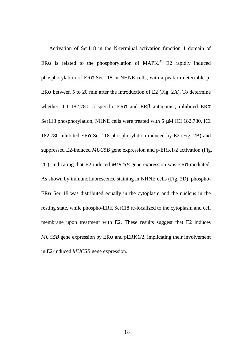Activation of Ser118 in the N-terminal activation function 1 domain of ER $\alpha$  is related to the phosphorylation of MAPK.<sup>41</sup> E2 rapidly induced phosphorylation of ERα Ser-118 in NHNE cells, with a peak in detectable p-ER $\alpha$  between 5 to 20 min after the introduction of E2 (Fig. 2A). To determine whether ICI 182,780, a specific ER $\alpha$  and ER $\beta$  antagonist, inhibited ER $\alpha$ Ser118 phosphorylation, NHNE cells were treated with 5  $\mu$ M ICI 182,780. ICI 182,780 inhibited ER $\alpha$  Ser-118 phosphorylation induced by E2 (Fig. 2B) and suppressed E2-induced *MUC5B* gene expression and p-ERK1/2 activation (Fig. 2C), indicating that E2-induced *MUC5B* gene expression was ERα-mediated. As shown by immunofluorescence staining in NHNE cells (Fig. 2D), phospho-ER $\alpha$  Ser118 was distributed equally in the cytoplasm and the nucleus in the resting state, while phospho-ERα Ser118 re-localized to the cytoplasm and cell membrane upon treatment with E2. These results suggest that E2 induces  $MUC5B$  gene expression by  $ER\alpha$  and  $pERK1/2$ , implicating their involvement in E2-induced *MUC5B* gene expression.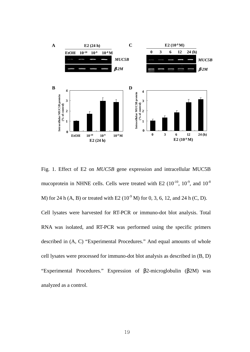

Fig. 1. Effect of E2 on *MUC5B* gene expression and intracellular MUC5B mucoprotein in NHNE cells. Cells were treated with E2  $(10^{-10}, 10^{-9}, \text{ and } 10^{-8})$ M) for 24 h (A, B) or treated with E2 ( $10^{-9}$  M) for 0, 3, 6, 12, and 24 h (C, D). Cell lysates were harvested for RT-PCR or immuno-dot blot analysis. Total RNA was isolated, and RT-PCR was performed using the specific primers described in (A, C) "Experimental Procedures." And equal amounts of whole cell lysates were processed for immuno-dot blot analysis as described in (B, D) "Experimental Procedures." Expression of β2-microglobulin (β2M) was analyzed as a control.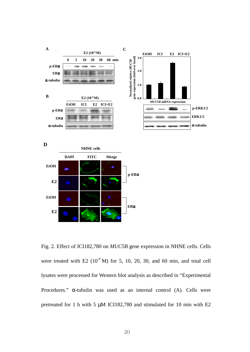

Fig. 2. Effect of ICI182,780 on *MUC5B* gene expression in NHNE cells. Cells were treated with E2  $(10^9 \text{ M})$  for 5, 10, 20, 30, and 60 min, and total cell lysates were processed for Western blot analysis as described in "Experimental Procedures." α-tubulin was used as an internal control (A). Cells were pretreated for 1 h with 5 µM ICI182,780 and stimulated for 10 min with E2

**ER**α

**EtOH**

**E2** 

**E2**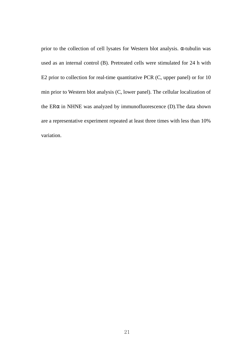prior to the collection of cell lysates for Western blot analysis. α-tubulin was used as an internal control (B). Pretreated cells were stimulated for 24 h with E2 prior to collection for real-time quantitative PCR (C, upper panel) or for 10 min prior to Western blot analysis (C, lower panel). The cellular localization of the ERα in NHNE was analyzed by immunofluorescence (D).The data shown are a representative experiment repeated at least three times with less than 10% variation.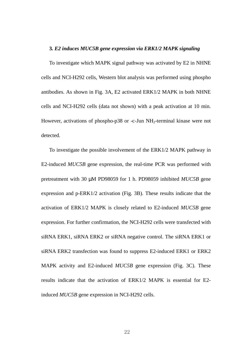#### **3***. E2 induces MUC5B gene expression via ERK1/2 MAPK signaling*

To investigate which MAPK signal pathway was activated by E2 in NHNE cells and NCI-H292 cells, Western blot analysis was performed using phospho antibodies. As shown in Fig. 3A, E2 activated ERK1/2 MAPK in both NHNE cells and NCI-H292 cells (data not shown) with a peak activation at 10 min. However, activations of phospho-p38 or -c-Jun NH<sub>2</sub>-terminal kinase were not detected.

To investigate the possible involvement of the ERK1/2 MAPK pathway in E2-induced *MUC5B* gene expression, the real-time PCR was performed with pretreatment with 30 µM PD98059 for 1 h. PD98059 inhibited *MUC5B* gene expression and p-ERK1/2 activation (Fig. 3B). These results indicate that the activation of ERK1/2 MAPK is closely related to E2-induced *MUC5B* gene expression. For further confirmation, the NCI-H292 cells were transfected with siRNA ERK1, siRNA ERK2 or siRNA negative control. The siRNA ERK1 or siRNA ERK2 transfection was found to suppress E2-induced ERK1 or ERK2 MAPK activity and E2-induced *MUC5B* gene expression (Fig. 3C). These results indicate that the activation of ERK1/2 MAPK is essential for E2 induced *MUC5B* gene expression in NCI-H292 cells.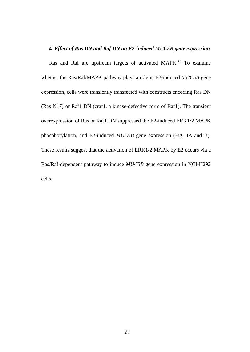#### **4***. Effect of Ras DN and Raf DN on E2-induced MUC5B gene expression*

Ras and Raf are upstream targets of activated MAPK.<sup>42</sup> To examine whether the Ras/Raf/MAPK pathway plays a role in E2-induced *MUC5B* gene expression, cells were transiently transfected with constructs encoding Ras DN (Ras N17) or Raf1 DN (craf1, a kinase-defective form of Raf1). The transient overexpression of Ras or Raf1 DN suppressed the E2-induced ERK1/2 MAPK phosphorylation, and E2-induced *MUC5B* gene expression (Fig. 4A and B). These results suggest that the activation of ERK1/2 MAPK by E2 occurs via a Ras/Raf-dependent pathway to induce *MUC5B* gene expression in NCI-H292 cells.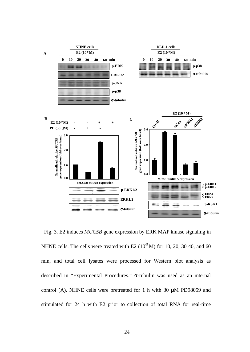

Fig. 3. E2 induces *MUC5B* gene expression by ERK MAP kinase signaling in NHNE cells. The cells were treated with E2  $(10^{-9}$  M) for 10, 20, 30 40, and 60 min, and total cell lysates were processed for Western blot analysis as described in "Experimental Procedures." α-tubulin was used as an internal control (A). NHNE cells were pretreated for 1 h with 30 µM PD98059 and stimulated for 24 h with E2 prior to collection of total RNA for real-time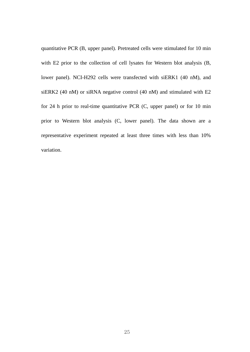quantitative PCR (B, upper panel). Pretreated cells were stimulated for 10 min with E2 prior to the collection of cell lysates for Western blot analysis (B, lower panel). NCI-H292 cells were transfected with siERK1 (40 nM), and siERK2 (40 nM) or siRNA negative control (40 nM) and stimulated with E2 for 24 h prior to real-time quantitative PCR (C, upper panel) or for 10 min prior to Western blot analysis (C, lower panel). The data shown are a representative experiment repeated at least three times with less than 10% variation.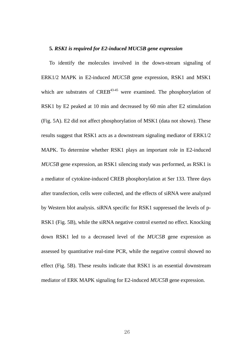#### **5***. RSK1 is required for E2-induced MUC5B gene expression*

To identify the molecules involved in the down-stream signaling of ERK1/2 MAPK in E2-induced *MUC5B* gene expression, RSK1 and MSK1 which are substrates of  $CREB<sup>43-45</sup>$  were examined. The phosphorylation of RSK1 by E2 peaked at 10 min and decreased by 60 min after E2 stimulation (Fig. 5A). E2 did not affect phosphorylation of MSK1 (data not shown). These results suggest that RSK1 acts as a downstream signaling mediator of ERK1/2 MAPK. To determine whether RSK1 plays an important role in E2-induced *MUC5B* gene expression, an RSK1 silencing study was performed, as RSK1 is a mediator of cytokine-induced CREB phosphorylation at Ser 133. Three days after transfection, cells were collected, and the effects of siRNA were analyzed by Western blot analysis. siRNA specific for RSK1 suppressed the levels of p-RSK1 (Fig. 5B), while the siRNA negative control exerted no effect. Knocking down RSK1 led to a decreased level of the *MUC5B* gene expression as assessed by quantitative real-time PCR, while the negative control showed no effect (Fig. 5B). These results indicate that RSK1 is an essential downstream mediator of ERK MAPK signaling for E2-induced *MUC5B* gene expression.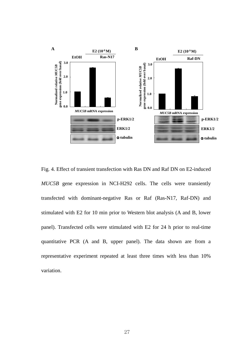

Fig. 4. Effect of transient transfection with Ras DN and Raf DN on E2-induced *MUC5B* gene expression in NCI-H292 cells. The cells were transiently transfected with dominant-negative Ras or Raf (Ras-N17, Raf-DN) and stimulated with E2 for 10 min prior to Western blot analysis (A and B, lower panel). Transfected cells were stimulated with E2 for 24 h prior to real-time quantitative PCR (A and B, upper panel). The data shown are from a representative experiment repeated at least three times with less than 10% variation.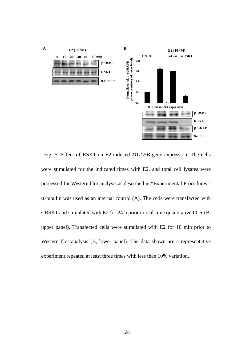

Fig. 5. Effect of RSK1 on E2-induced *MUC5B* gene expression. The cells were stimulated for the indicated times with E2, and total cell lysates were processed for Western blot analysis as described in "Experimental Procedures." α-tubulin was used as an internal control (A). The cells were transfected with siRSK1 and stimulated with E2 for 24 h prior to real-time quantitative PCR (B, upper panel). Transfected cells were stimulated with E2 for 10 min prior to Western blot analysis (B, lower panel). The data shown are a representative experiment repeated at least three times with less than 10% variation.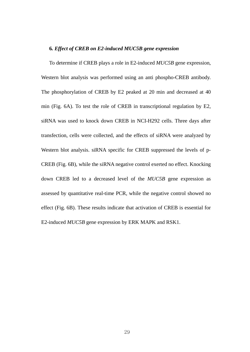#### **6***. Effect of CREB on E2-induced MUC5B gene expression*

To determine if CREB plays a role in E2-induced *MUC5B* gene expression, Western blot analysis was performed using an anti phospho-CREB antibody. The phosphorylation of CREB by E2 peaked at 20 min and decreased at 40 min (Fig. 6A). To test the role of CREB in transcriptional regulation by E2, siRNA was used to knock down CREB in NCI-H292 cells. Three days after transfection, cells were collected, and the effects of siRNA were analyzed by Western blot analysis. siRNA specific for CREB suppressed the levels of p-CREB (Fig. 6B), while the siRNA negative control exerted no effect. Knocking down CREB led to a decreased level of the *MUC5B* gene expression as assessed by quantitative real-time PCR, while the negative control showed no effect (Fig. 6B). These results indicate that activation of CREB is essential for E2-induced *MUC5B* gene expression by ERK MAPK and RSK1.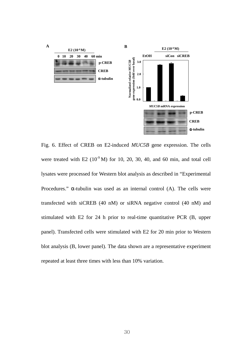

Fig. 6. Effect of CREB on E2-induced *MUC5B* gene expression. The cells were treated with E2  $(10^{-9} \text{M})$  for 10, 20, 30, 40, and 60 min, and total cell lysates were processed for Western blot analysis as described in "Experimental Procedures."  $\alpha$ -tubulin was used as an internal control (A). The cells were transfected with siCREB (40 nM) or siRNA negative control (40 nM) and stimulated with E2 for 24 h prior to real-time quantitative PCR (B, upper panel). Transfected cells were stimulated with E2 for 20 min prior to Western blot analysis (B, lower panel). The data shown are a representative experiment repeated at least three times with less than 10% variation.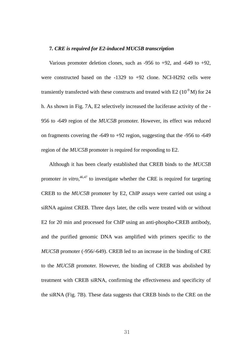#### **7***. CRE is required for E2-induced MUC5B transcription*

Various promoter deletion clones, such as  $-956$  to  $+92$ , and  $-649$  to  $+92$ , were constructed based on the -1329 to +92 clone. NCI-H292 cells were transiently transfected with these constructs and treated with E2  $(10^9 \text{ M})$  for 24 h. As shown in Fig. 7A, E2 selectively increased the luciferase activity of the - 956 to -649 region of the *MUC5B* promoter. However, its effect was reduced on fragments covering the -649 to +92 region, suggesting that the -956 to -649 region of the *MUC5B* promoter is required for responding to E2.

Although it has been clearly established that CREB binds to the *MUC5B* promoter *in vitro*, 46,47 to investigate whether the CRE is required for targeting CREB to the *MUC5B* promoter by E2, ChIP assays were carried out using a siRNA against CREB. Three days later, the cells were treated with or without E2 for 20 min and processed for ChIP using an anti-phospho-CREB antibody, and the purified genomic DNA was amplified with primers specific to the *MUC5B* promoter (-956/-649). CREB led to an increase in the binding of CRE to the *MUC5B* promoter. However, the binding of CREB was abolished by treatment with CREB siRNA, confirming the effectiveness and specificity of the siRNA (Fig. 7B). These data suggests that CREB binds to the CRE on the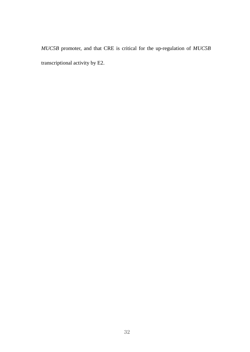*MUC5B* promoter, and that CRE is critical for the up-regulation of *MUC5B* transcriptional activity by E2.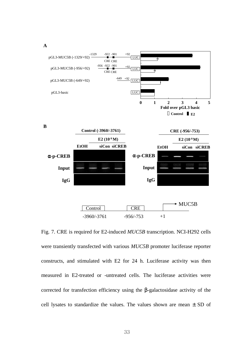

Fig. 7. CRE is required for E2-induced *MUC5B* transcription. NCI-H292 cells were transiently transfected with various *MUC5B* promoter luciferase reporter constructs, and stimulated with E2 for 24 h. Luciferase activity was then measured in E2-treated or -untreated cells. The luciferase activities were corrected for transfection efficiency using the β-galactosidase activity of the cell lysates to standardize the values. The values shown are mean ± SD of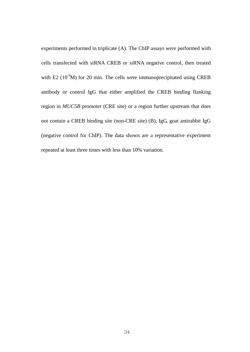experiments performed in triplicate (A). The ChIP assays were performed with cells transfected with siRNA CREB or siRNA negative control, then treated with E2 ( $10^9$ M) for 20 min. The cells were immunoprecipitated using CREB antibody or control IgG that either amplified the CREB binding flanking region in *MUC5B* promoter (CRE site) or a region further upstream that does not contain a CREB binding site (non-CRE site) (B). IgG, goat antirabbit IgG (negative control for ChIP). The data shown are a representative experiment repeated at least three times with less than 10% variation.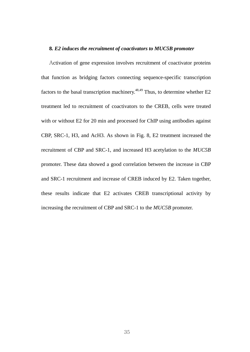#### **8***. E2 induces the recruitment of coactivators to MUC5B promoter*

Activation of gene expression involves recruitment of coactivator proteins that function as bridging factors connecting sequence-specific transcription factors to the basal transcription machinery. $48,49$  Thus, to determine whether E2 treatment led to recruitment of coactivators to the CREB, cells were treated with or without E2 for 20 min and processed for ChIP using antibodies against CBP, SRC-1, H3, and AcH3. As shown in Fig. 8, E2 treatment increased the recruitment of CBP and SRC-1, and increased H3 acetylation to the *MUC5B* promoter. These data showed a good correlation between the increase in CBP and SRC-1 recruitment and increase of CREB induced by E2. Taken together, these results indicate that E2 activates CREB transcriptional activity by increasing the recruitment of CBP and SRC-1 to the *MUC5B* promoter.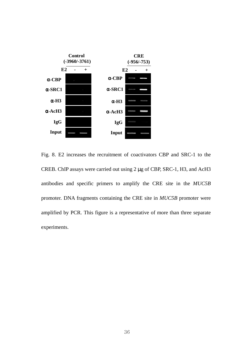

Fig. 8. E2 increases the recruitment of coactivators CBP and SRC-1 to the CREB. ChIP assays were carried out using 2 µg of CBP, SRC-1, H3, and AcH3 antibodies and specific primers to amplify the CRE site in the *MUC5B* promoter. DNA fragments containing the CRE site in *MUC5B* promoter were amplified by PCR. This figure is a representative of more than three separate experiments.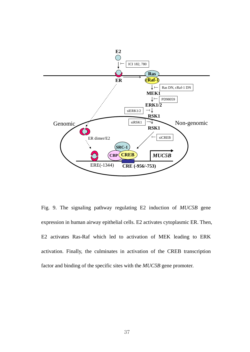

Fig. 9. The signaling pathway regulating E2 induction of *MUC5B* gene expression in human airway epithelial cells. E2 activates cytoplasmic ER. Then, E2 activates Ras-Raf which led to activation of MEK leading to ERK activation. Finally, the culminates in activation of the CREB transcription factor and binding of the specific sites with the *MUC5B* gene promoter.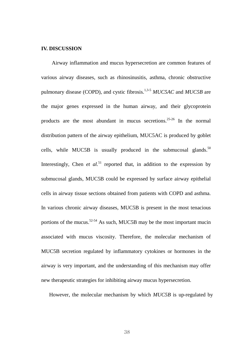#### **IV. DISCUSSION**

Airway inflammation and mucus hypersecretion are common features of various airway diseases, such as rhinosinusitis, asthma, chronic obstructive pulmonary disease (COPD), and cystic fibrosis.1,3-5 *MUC5AC* and *MUC5B* are the major genes expressed in the human airway, and their glycoprotein products are the most abundant in mucus secretions.25-26 In the normal distribution pattern of the airway epithelium, MUC5AC is produced by goblet cells, while MUC5B is usually produced in the submucosal glands.<sup>50</sup> Interestingly, Chen *et al.*<sup>51</sup> reported that, in addition to the expression by submucosal glands, MUC5B could be expressed by surface airway epithelial cells in airway tissue sections obtained from patients with COPD and asthma. In various chronic airway diseases, MUC5B is present in the most tenacious portions of the mucus.<sup>52-54</sup> As such, MUC5B may be the most important mucin associated with mucus viscosity. Therefore, the molecular mechanism of MUC5B secretion regulated by inflammatory cytokines or hormones in the airway is very important, and the understanding of this mechanism may offer new therapeutic strategies for inhibiting airway mucus hypersecretion.

However, the molecular mechanism by which *MUC5B* is up-regulated by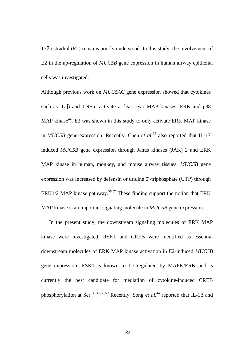17β-estradiol (E2) remains poorly understood. In this study, the involvement of E2 in the up-regulation of *MUC5B* gene expression in human airway epithelial cells was investigated.

Although previous work on *MUC5AC* gene expression showed that cytokines such as IL-β and TNF-α activate at least two MAP kinases, ERK and p38 MAP kinase<sup>44</sup>, E2 was shown in this study to only activate ERK MAP kinase in *MUC5B* gene expression. Recently, Chen *et al.*<sup>55</sup> also reported that IL-17 induced *MUC5B* gene expression through Janus kinases (JAK) 2 and ERK MAP kinase in human, monkey, and mouse airway tissues. *MUC5B* gene expression was increased by defensin or uridine 5′-triphosphate (UTP) through ERK1/2 MAP kinase pathway.<sup>56,57</sup> These finding support the notion that ERK MAP kinase is an important signaling molecule in *MUC5B* gene expression.

In the present study, the downstream signaling molecules of ERK MAP kinase were investigated. RSK1 and CREB were identified as essential downstream molecules of ERK MAP kinase activation in E2-induced *MUC5B* gene expression. RSK1 is known to be regulated by MAPK/ERK and is currently the best candidate for mediation of cytokine-induced CREB phosphorylation at Ser<sup>133</sup>.<sup>43,58,59</sup> Recently, Song *et al.*<sup>44</sup> reported that IL-1β and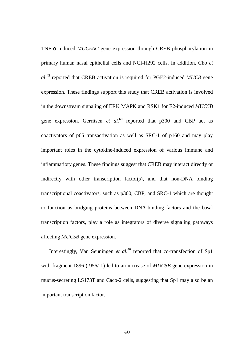TNF-α induced *MUC5AC* gene expression through CREB phosphorylation in primary human nasal epithelial cells and NCI-H292 cells. In addition, Cho *et al.*<sup>45</sup> reported that CREB activation is required for PGE2-induced *MUC8* gene expression. These findings support this study that CREB activation is involved in the downstream signaling of ERK MAPK and RSK1 for E2-induced *MUC5B* gene expression. Gerritsen *et al.*<sup>60</sup> reported that p300 and CBP act as coactivators of p65 transactivation as well as SRC-1 of p160 and may play important roles in the cytokine-induced expression of various immune and inflammatiory genes. These findings suggest that CREB may interact directly or indirectly with other transcription factor(s), and that non-DNA binding transcriptional coactivators, such as p300, CBP, and SRC-1 which are thought to function as bridging proteins between DNA-binding factors and the basal transcription factors, play a role as integrators of diverse signaling pathways affecting *MUC5B* gene expression.

Interestingly, Van Seuningen *et al.*<sup>46</sup> reported that co-transfection of Sp1 with fragment 1896 (-956/-1) led to an increase of *MUC5B* gene expression in mucus-secreting LS173T and Caco-2 cells, suggesting that Sp1 may also be an important transcription factor.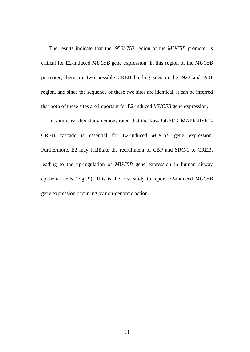The results indicate that the -956/-753 region of the *MUC5B* promoter is critical for E2-induced *MUC5B* gene expression. In this region of the *MUC5B* promoter, there are two possible CREB binding sites in the -922 and -901 region, and since the sequence of these two sites are identical, it can be inferred that both of these sites are important for E2-induced *MUC5B* gene expression.

In summary, this study demonstrated that the Ras-Raf-ERK MAPK-RSK1- CREB cascade is essential for E2-induced *MUC5B* gene expression. Furthermore, E2 may facilitate the recruitment of CBP and SRC-1 to CREB, leading to the up-regulation of *MUC5B* gene expression in human airway epithelial cells (Fig. 9). This is the first study to report E2-induced *MUC5B* gene expression occurring by non-genomic action.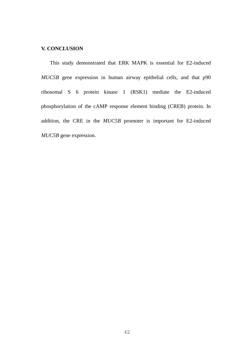#### **V. CONCLUSION**

This study demonstrated that ERK MAPK is essential for E2-induced *MUC5B* gene expression in human airway epithelial cells, and that p90 ribosomal S 6 protein kinase 1 (RSK1) mediate the E2-induced phosphorylation of the cAMP response element binding (CREB) protein. In addition, the CRE in the *MUC5B* promoter is important for E2-induced *MUC5B* gene expression.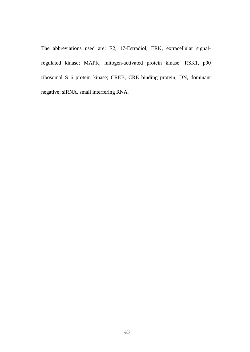The abbreviations used are: E2, 17-Estradiol; ERK, extracellular signalregulated kinase; MAPK, mitogen-activated protein kinase; RSK1, p90 ribosomal S 6 protein kinase; CREB, CRE binding protein; DN, dominant negative; siRNA, small interfering RNA.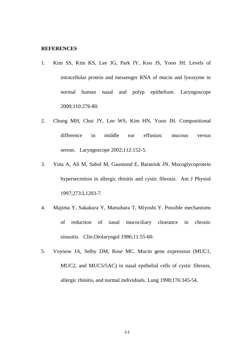#### **REFERENCES**

- 1. Kim SS, Kim KS, Lee JG, Park IY, Koo JS, Yoon JH. Levels of intracellular protein and messenger RNA of mucin and lysozyme in normal human nasal and polyp epithelium. Laryngoscope 2000;110:276-80.
- 2. Chung MH, Choi JY, Lee WS, Kim HN, Yoon JH. Compositional difference in middle ear effusion: mucous versus serous. Laryngoscope 2002;112:152-5.
- 3. Yuta A, Ali M, Sabol M, Gaumond E, Baraniuk JN. Mucoglycoprotein hypersecretion in allergic rhinitis and cystic fibrosis. Am J Physiol 1997;273:L1203-7.
- 4. Majima Y, Sakakura Y, Matsubara T, Miyoshi Y. Possible mechanisms of reduction of nasal mucociliary clearance in chronic sinusitis. Clin.Otolaryngol 1986;11:55-60.
- 5. Voynow JA, Selby DM, Rose MC. Mucin gene expression (MUC1, MUC2, and MUC5/5AC) in nasal epithelial cells of cystic fibrosis, allergic rhinitis, and normal individuals. Lung 1998;176:345-54.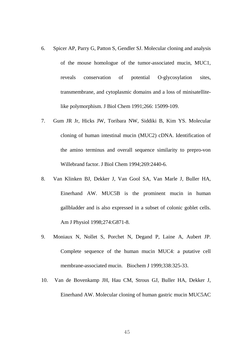- 6. Spicer AP, Parry G, Patton S, Gendler SJ. Molecular cloning and analysis of the mouse homologue of the tumor-associated mucin, MUC1, reveals conservation of potential O-glycosylation sites, transmembrane, and cytoplasmic domains and a loss of minisatellitelike polymorphism. J Biol Chem 1991;266: 15099-109.
- 7. Gum JR Jr, Hicks JW, Toribara NW, Siddiki B, Kim YS. Molecular cloning of human intestinal mucin (MUC2) cDNA. Identification of the amino terminus and overall sequence similarity to prepro-von Willebrand factor. J Biol Chem 1994;269:2440-6.
- 8. Van Klinken BJ, Dekker J, Van Gool SA, Van Marle J, Buller HA, Einerhand AW. MUC5B is the prominent mucin in human gallbladder and is also expressed in a subset of colonic goblet cells. Am J Physiol 1998;274:G871-8.
- 9. Moniaux N, Nollet S, Porchet N, Degand P, Laine A, Aubert JP. Complete sequence of the human mucin MUC4: a putative cell membrane-associated mucin. Biochem J 1999;338:325-33.
- 10. Van de Bovenkamp JH, Hau CM, Strous GJ, Buller HA, Dekker J, Einerhand AW. Molecular cloning of human gastric mucin MUC5AC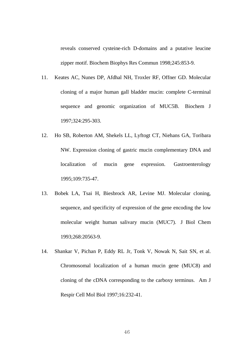reveals conserved cysteine-rich D-domains and a putative leucine zipper motif. Biochem Biophys Res Commun 1998;245:853-9.

- 11. Keates AC, Nunes DP, Afdhal NH, Troxler RF, Offner GD. Molecular cloning of a major human gall bladder mucin: complete C-terminal sequence and genomic organization of MUC5B. Biochem J 1997;324:295-303.
- 12. Ho SB, Roberton AM, Shekels LL, Lyftogt CT, Niehans GA, Toribara NW. Expression cloning of gastric mucin complementary DNA and localization of mucin gene expression. Gastroenterology 1995;109:735-47.
- 13. Bobek LA, Tsai H, Biesbrock AR, Levine MJ. Molecular cloning, sequence, and specificity of expression of the gene encoding the low molecular weight human salivary mucin (MUC7). J Biol Chem 1993;268:20563-9.
- 14. Shankar V, Pichan P, Eddy RL Jr, Tonk V, Nowak N, Sait SN, et al. Chromosomal localization of a human mucin gene (MUC8) and cloning of the cDNA corresponding to the carboxy terminus. Am J Respir Cell Mol Biol 1997;16:232-41.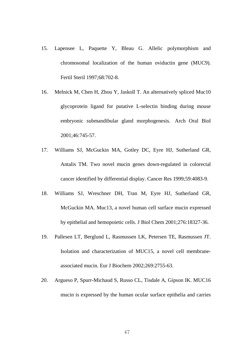- 15. Lapensee L, Paquette Y, Bleau G. Allelic polymorphism and chromosomal localization of the human oviductin gene (MUC9). Fertil Steril 1997;68:702-8.
- 16. Melnick M, Chen H, Zhou Y, Jaskoll T. An alternatively spliced Muc10 glycoprotein ligand for putative L-selectin binding during mouse embryonic submandibular gland morphogenesis. Arch Oral Biol 2001;46:745-57.
- 17. Williams SJ, McGuckin MA, Gotley DC, Eyre HJ, Sutherland GR, Antalis TM. Two novel mucin genes down-regulated in colorectal cancer identified by differential display. Cancer Res 1999;59:4083-9.
- 18. Williams SJ, Wreschner DH, Tran M, Eyre HJ, Sutherland GR, McGuckin MA. Muc13, a novel human cell surface mucin expressed by epithelial and hemopoietic cells. J Biol Chem 2001;276:18327-36.
- 19. Pallesen LT, Berglund L, Rasmussen LK, Petersen TE, Rasmussen JT. Isolation and characterization of MUC15, a novel cell membraneassociated mucin. Eur J Biochem 2002;269:2755-63.
- 20. Argueso P, Spurr-Michaud S, Russo CL, Tisdale A, Gipson IK. MUC16 mucin is expressed by the human ocular surface epithelia and carries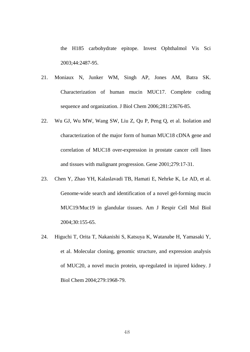the H185 carbohydrate epitope. Invest Ophthalmol Vis Sci 2003;44:2487-95.

- 21. Moniaux N, Junker WM, Singh AP, Jones AM, Batra SK. Characterization of human mucin MUC17. Complete coding sequence and organization. J Biol Chem 2006;281:23676-85.
- 22. Wu GJ, Wu MW, Wang SW, Liu Z, Qu P, Peng Q, et al. Isolation and characterization of the major form of human MUC18 cDNA gene and correlation of MUC18 over-expression in prostate cancer cell lines and tissues with malignant progression. Gene 2001;279:17-31.
- 23. Chen Y, Zhao YH, Kalaslavadi TB, Hamati E, Nehrke K, Le AD, et al. Genome-wide search and identification of a novel gel-forming mucin MUC19/Muc19 in glandular tissues. Am J Respir Cell Mol Biol 2004;30:155-65.
- 24. Higuchi T, Orita T, Nakanishi S, Katsuya K, Watanabe H, Yamasaki Y, et al. Molecular cloning, genomic structure, and expression analysis of MUC20, a novel mucin protein, up-regulated in injured kidney. J Biol Chem 2004;279:1968-79.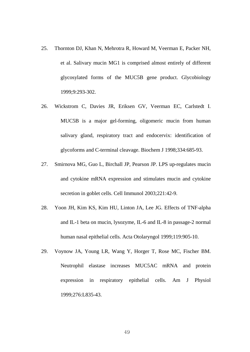- 25. Thornton DJ, Khan N, Mehrotra R, Howard M, Veerman E, Packer NH, et al. Salivary mucin MG1 is comprised almost entirely of different glycosylated forms of the MUC5B gene product. Glycobiology 1999;9:293-302.
- 26. Wickstrom C, Davies JR, Eriksen GV, Veerman EC, Carlstedt I. MUC5B is a major gel-forming, oligomeric mucin from human salivary gland, respiratory tract and endocervix: identification of glycoforms and C-terminal cleavage. Biochem J 1998;334:685-93.
- 27. Smirnova MG, Guo L, Birchall JP, Pearson JP. LPS up-regulates mucin and cytokine mRNA expression and stimulates mucin and cytokine secretion in goblet cells. Cell Immunol 2003;221:42-9.
- 28. Yoon JH, Kim KS, Kim HU, Linton JA, Lee JG. Effects of TNF-alpha and IL-1 beta on mucin, lysozyme, IL-6 and IL-8 in passage-2 normal human nasal epithelial cells. Acta Otolaryngol 1999;119:905-10.
- 29. Voynow JA, Young LR, Wang Y, Horger T, Rose MC, Fischer BM. Neutrophil elastase increases MUC5AC mRNA and protein expression in respiratory epithelial cells. Am J Physiol 1999;276:L835-43.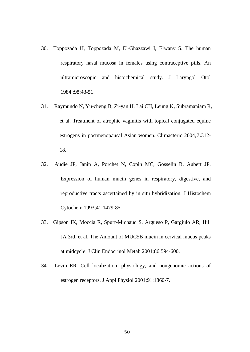- 30. Toppozada H, Toppozada M, El-Ghazzawi I, Elwany S. The human respiratory nasal mucosa in females using contraceptive pills. An ultramicroscopic and histochemical study. J Laryngol Otol 1984 ;98:43-51.
- 31. Raymundo N, Yu-cheng B, Zi-yan H, Lai CH, Leung K, Subramaniam R, et al. Treatment of atrophic vaginitis with topical conjugated equine estrogens in postmenopausal Asian women. Climacteric 2004*;*7**:**312- 18.
- 32. Audie JP, Janin A, Porchet N, Copin MC, Gosselin B, Aubert JP. Expression of human mucin genes in respiratory, digestive, and reproductive tracts ascertained by in situ hybridization. J Histochem Cytochem 1993;41:1479-85.
- 33. Gipson IK, Moccia R, Spurr-Michaud S, Argueso P, Gargiulo AR, Hill JA 3rd, et al. The Amount of MUC5B mucin in cervical mucus peaks at midcycle. J Clin Endocrinol Metab 2001;86:594-600.
- 34. Levin ER. Cell localization, physiology, and nongenomic actions of estrogen receptors. J Appl Physiol 2001;91:1860-7.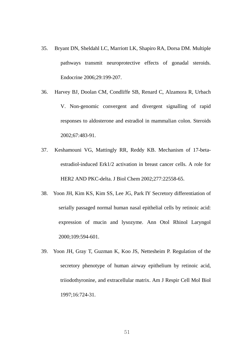- 35. Bryant DN, Sheldahl LC, Marriott LK, Shapiro RA, Dorsa DM. Multiple pathways transmit neuroprotective effects of gonadal steroids. Endocrine 2006;29:199-207.
- 36. Harvey BJ, Doolan CM, Condliffe SB, Renard C, Alzamora R, Urbach V. Non-genomic convergent and divergent signalling of rapid responses to aldosterone and estradiol in mammalian colon. Steroids 2002;67:483-91.
- 37. Keshamouni VG, Mattingly RR, Reddy KB. Mechanism of 17-betaestradiol-induced Erk1/2 activation in breast cancer cells. A role for HER2 AND PKC-delta. J Biol Chem 2002;277:22558-65.
- 38. Yoon JH, Kim KS, Kim SS, Lee JG, Park IY Secretory differentiation of serially passaged normal human nasal epithelial cells by retinoic acid: expression of mucin and lysozyme. Ann Otol Rhinol Laryngol 2000;109:594-601.
- 39. Yoon JH, Gray T, Guzman K, Koo JS, Nettesheim P. Regulation of the secretory phenotype of human airway epithelium by retinoic acid, triiodothyronine, and extracellular matrix. Am J Respir Cell Mol Biol 1997;16:724-31.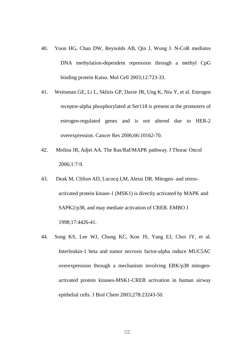- 40. Yoon HG, Chan DW, Reynolds AB, Qin J, Wong J. N-CoR mediates DNA methylation-dependent repression through a methyl CpG binding protein Kaiso. Mol Cell 2003;12:723-33.
- 41. Weitsman GE, Li L, Skliris GP, Davie JR, Ung K, Niu Y, et al. Estrogen receptor-alpha phosphorylated at Ser118 is present at the promoters of estrogen-regulated genes and is not altered due to HER-2 overexpression. Cancer Res 2006;66:10162-70.
- 42. Molina JR, Adjei AA. The Ras/Raf/MAPK pathway. J Thorac Oncol 2006;1:7-9.
- 43. Deak M, Clifton AD, Lucocq LM, Alessi DR. Mitogen- and stressactivated protein kinase-1 (MSK1) is directly activated by MAPK and SAPK2/p38, and may mediate activation of CREB. EMBO J 1998;17:4426-41.
- 44. Song KS, Lee WJ, Chung KC, Koo JS, Yang EJ, Choi JY, et al. Interleukin-1 beta and tumor necrosis factor-alpha induce MUC5AC overexpression through a mechanism involving ERK/p38 mitogenactivated protein kinases-MSK1-CREB activation in human airway epithelial cells. J Biol Chem 2003;278:23243-50.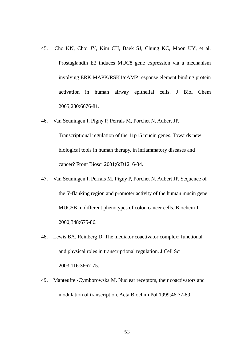- 45. Cho KN, Choi JY, Kim CH, Baek SJ, Chung KC, Moon UY, et al. Prostaglandin E2 induces MUC8 gene expression via a mechanism involving ERK MAPK/RSK1/cAMP response element binding protein activation in human airway epithelial cells. J Biol Chem 2005;280:6676-81.
- 46. Van Seuningen I, Pigny P, Perrais M, Porchet N, Aubert JP. Transcriptional regulation of the 11p15 mucin genes. Towards new biological tools in human therapy, in inflammatory diseases and cancer? Front Biosci 2001;6:D1216-34.
- 47. Van Seuningen I, Perrais M, Pigny P, Porchet N, Aubert JP. Sequence of the 5'-flanking region and promoter activity of the human mucin gene MUC5B in different phenotypes of colon cancer cells. Biochem J 2000;348:675-86.
- 48. Lewis BA, Reinberg D. The mediator coactivator complex: functional and physical roles in transcriptional regulation. J Cell Sci 2003;116:3667-75.
- 49. Manteuffel-Cymborowska M. Nuclear receptors, their coactivators and modulation of transcription. Acta Biochim Pol 1999;46:77-89.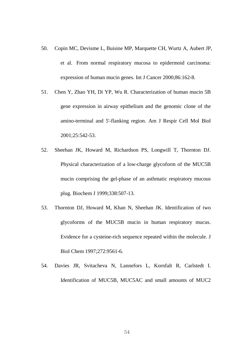- 50. Copin MC, Devisme L, Buisine MP, Marquette CH, Wurtz A, Aubert JP, et al. From normal respiratory mucosa to epidermoid carcinoma: expression of human mucin genes. Int J Cancer 2000;86:162-8.
- 51. Chen Y, Zhao YH, Di YP, Wu R. Characterization of human mucin 5B gene expression in airway epithelium and the genomic clone of the amino-terminal and 5'-flanking region. Am J Respir Cell Mol Biol 2001;25:542-53.
- 52. Sheehan JK, Howard M, Richardson PS, Longwill T, Thornton DJ. Physical characterization of a low-charge glycoform of the MUC5B mucin comprising the gel-phase of an asthmatic respiratory mucous plug. Biochem J 1999;338:507-13.
- 53. Thornton DJ, Howard M, Khan N, Sheehan JK. Identification of two glycoforms of the MUC5B mucin in human respiratory mucus. Evidence for a cysteine-rich sequence repeated within the molecule. J Biol Chem 1997;272:9561-6.
- 54. Davies JR, Svitacheva N, Lannefors L, Kornfalt R, Carlstedt I. Identification of MUC5B, MUC5AC and small amounts of MUC2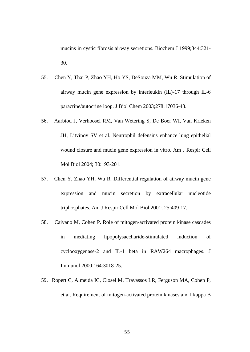mucins in cystic fibrosis airway secretions. Biochem J 1999;344:321- 30.

- 55. Chen Y, Thai P, Zhao YH, Ho YS, DeSouza MM, Wu R. Stimulation of airway mucin gene expression by interleukin (IL)-17 through IL-6 paracrine/autocrine loop. J Biol Chem 2003;278:17036-43.
- 56. Aarbiou J, Verhoosel RM, Van Wetering S, De Boer WI, Van Krieken JH, Litvinov SV et al. Neutrophil defensins enhance lung epithelial wound closure and mucin gene expression in vitro. Am J Respir Cell Mol Biol 2004; 30:193-201.
- 57. Chen Y, Zhao YH, Wu R. Differential regulation of airway mucin gene expression and mucin secretion by extracellular nucleotide triphosphates. Am J Respir Cell Mol Biol 2001; 25:409-17.
- 58. Caivano M, Cohen P. Role of mitogen-activated protein kinase cascades in mediating lipopolysaccharide-stimulated induction of cyclooxygenase-2 and IL-1 beta in RAW264 macrophages. J Immunol 2000;164:3018-25.
- 59. Ropert C, Almeida IC, Closel M, Travassos LR, Ferguson MA, Cohen P, et al. Requirement of mitogen-activated protein kinases and I kappa B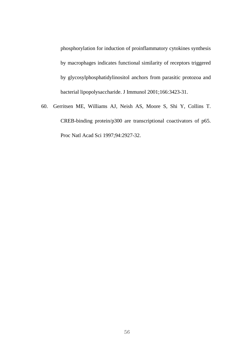phosphorylation for induction of proinflammatory cytokines synthesis by macrophages indicates functional similarity of receptors triggered by glycosylphosphatidylinositol anchors from parasitic protozoa and bacterial lipopolysaccharide. J Immunol 2001;166:3423-31.

60. Gerritsen ME, Williams AJ, Neish AS, Moore S, Shi Y, Collins T. CREB-binding protein/p300 are transcriptional coactivators of p65. Proc Natl Acad Sci 1997;94:2927-32.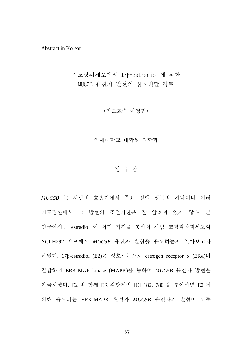Abstract in Korean

기도상피세포에서 17β-estradiol 에 의한 MUC5B 유전자 발현의 신호전달 경로

<지도교수 이정권>

연세대학교 대학원 의학과

### 정 유 삼

*MUC5B* 는 사람의 호흡기에서 주요 점액 성분의 하나이나 여러 기도질환에서 그 발현의 조절기전은 잘 알려져 있지 않다. 본 연구에서는 estradiol 이 어떤 기전을 통하여 사람 코점막상피세포와 NCI-H292 세포에서 *MUC5B* 유전자 발현을 유도하는지 알아보고자 하였다. 17β-estradiol (E2)은 성호르몬으로 estrogen receptor α (ERα)와 결합하여 ERK-MAP kinase (MAPK)를 통하여 *MUC5B* 유전자 발현을 자극하였다. E2 와 함께 ER 길항제인 ICI 182, 780 을 투여하면 E2 에 의해 유도되는 ERK-MAPK 활성과 *MUC5B* 유전자의 발현이 모두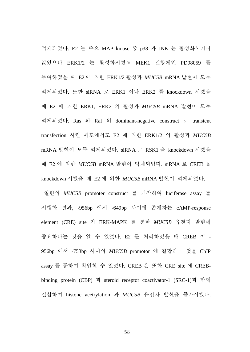억제되었다. E2 는 주요 MAP kinase 중 p38 과 JNK 는 활성화시키지 않았으나 ERK1/2 는 활성화시켰고 MEK1 길항제인 PD98059 를 투여하였을 때 E2 에 의한 ERK1/2 활성과 *MUC5B* mRNA 발현이 모두 억제되었다. 또한 siRNA 로 ERK1 이나 ERK2 를 knockdown 시켰을 때 E2 에 의한 ERK1, ERK2 의 활성과 *MUC5B* mRNA 발현이 모두 억제되었다. Ras 와 Raf 의 dominant-negative construct 로 transient transfection 시킨 세포에서도 E2 에 의한 ERK1/2 의 활성과 *MUC5B* mRNA 발현이 모두 억제되었다. siRNA 로 RSK1 을 knockdown 시켰을 때 E2 에 의한 *MUC5B* mRNA 발현이 억제되었다. siRNA 로 CREB 을 knockdown 시켰을 때 E2 에 의한 *MUC5B* mRNA 발현이 억제되었다.

일련의 *MUC5B* promoter construct 를 제작하여 luciferase assay 를 시행한 결과, -956bp 에서 -649bp 사이에 존재하는 cAMP-response element (CRE) site 가 ERK-MAPK 를 통한 *MUC5B* 유전자 발현에 중요하다는 것을 알 수 있었다. E2 를 처리하였을 때 CREB 이 - 956bp 에서 -753bp 사이의 *MUC5B* promotor 에 결합하는 것을 ChIP assay 를 통하여 확인할 수 있었다. CREB 은 또한 CRE site 에 CREBbinding protein (CBP) 과 steroid receptor coactivator-1 (SRC-1)과 함께 결합하여 histone acetrylation 과 *MUC5B* 유전자 발현을 증가시켰다.

58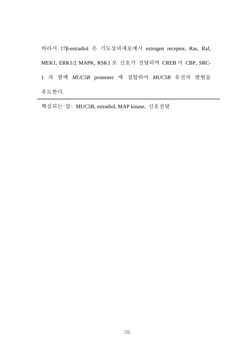따라서 17β-estradiol 은 기도상피세포에서 estrogen receptor, Ras, Raf, MEK1, ERK1/2 MAPK, RSK1 로 신호가 전달되며 CREB 이 CBP, SRC-1 과 함께 *MUC5B* promoter 에 결합하여 *MUC5B* 유전자 발현을 유도한다.

핵심되는 말: MUC5B, estradiol, MAP kinase, 신호전달